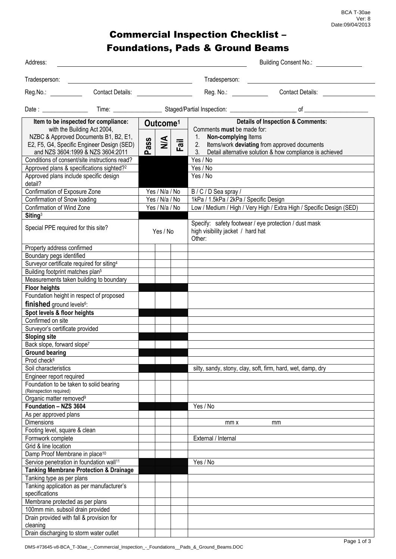BCA T-30ae Ver: 8 Date:09/04/2013

## Commercial Inspection Checklist – Foundations, Pads & Ground Beams

| Address:                                                                                                                                                                                        | <b>Building Consent No.:</b>                                 |                                                                                                                                                                                                                                          |  |  |
|-------------------------------------------------------------------------------------------------------------------------------------------------------------------------------------------------|--------------------------------------------------------------|------------------------------------------------------------------------------------------------------------------------------------------------------------------------------------------------------------------------------------------|--|--|
|                                                                                                                                                                                                 |                                                              | Tradesperson:                                                                                                                                                                                                                            |  |  |
|                                                                                                                                                                                                 |                                                              |                                                                                                                                                                                                                                          |  |  |
| Contact Details:<br>Reg.No.:                                                                                                                                                                    |                                                              | Reg. No.: __________<br><b>Contact Details:</b>                                                                                                                                                                                          |  |  |
|                                                                                                                                                                                                 |                                                              |                                                                                                                                                                                                                                          |  |  |
| Item to be inspected for compliance:<br>with the Building Act 2004,<br>NZBC & Approved Documents B1, B2, E1,<br>E2, F5, G4, Specific Engineer Design (SED)<br>and NZS 3604:1999 & NZS 3604:2011 | Outcome <sup>1</sup><br>$\sum_{i=1}^{n}$<br>ass<br>Fail<br>൨ | <b>Details of Inspection &amp; Comments:</b><br>Comments must be made for:<br>Non-complying Items<br>$1_{\cdot}$<br>Items/work deviating from approved documents<br>2.<br>Detail alternative solution & how compliance is achieved<br>3. |  |  |
| Conditions of consent/site instructions read?                                                                                                                                                   |                                                              | Yes / No                                                                                                                                                                                                                                 |  |  |
| Approved plans & specifications sighted? <sup>2</sup>                                                                                                                                           |                                                              | Yes / No                                                                                                                                                                                                                                 |  |  |
| Approved plans include specific design<br>detail?                                                                                                                                               |                                                              | Yes / No                                                                                                                                                                                                                                 |  |  |
| Confirmation of Exposure Zone                                                                                                                                                                   | Yes / N/a / No                                               | B/C/D Sea spray/                                                                                                                                                                                                                         |  |  |
| Confirmation of Snow loading                                                                                                                                                                    | Yes / N/a / No                                               | 1kPa / 1.5kPa / 2kPa / Specific Design                                                                                                                                                                                                   |  |  |
| Confirmation of Wind Zone                                                                                                                                                                       | Yes / N/a / No                                               | Low / Medium / High / Very High / Extra High / Specific Design (SED)                                                                                                                                                                     |  |  |
| Siting <sup>3</sup>                                                                                                                                                                             |                                                              |                                                                                                                                                                                                                                          |  |  |
| Special PPE required for this site?                                                                                                                                                             | Yes / No                                                     | Specify: safety footwear / eye protection / dust mask<br>high visibility jacket / hard hat<br>Other:                                                                                                                                     |  |  |
| Property address confirmed                                                                                                                                                                      |                                                              |                                                                                                                                                                                                                                          |  |  |
| Boundary pegs identified                                                                                                                                                                        |                                                              |                                                                                                                                                                                                                                          |  |  |
| Surveyor certificate required for siting <sup>4</sup>                                                                                                                                           |                                                              |                                                                                                                                                                                                                                          |  |  |
| Building footprint matches plan <sup>5</sup>                                                                                                                                                    |                                                              |                                                                                                                                                                                                                                          |  |  |
| Measurements taken building to boundary                                                                                                                                                         |                                                              |                                                                                                                                                                                                                                          |  |  |
| <b>Floor heights</b>                                                                                                                                                                            |                                                              |                                                                                                                                                                                                                                          |  |  |
| Foundation height in respect of proposed                                                                                                                                                        |                                                              |                                                                                                                                                                                                                                          |  |  |
| <b>finished</b> ground levels <sup>6</sup> :                                                                                                                                                    |                                                              |                                                                                                                                                                                                                                          |  |  |
| Spot levels & floor heights                                                                                                                                                                     |                                                              |                                                                                                                                                                                                                                          |  |  |
| Confirmed on site                                                                                                                                                                               |                                                              |                                                                                                                                                                                                                                          |  |  |
| Surveyor's certificate provided                                                                                                                                                                 |                                                              |                                                                                                                                                                                                                                          |  |  |
| <b>Sloping site</b>                                                                                                                                                                             |                                                              |                                                                                                                                                                                                                                          |  |  |
| Back slope, forward slope7                                                                                                                                                                      |                                                              |                                                                                                                                                                                                                                          |  |  |
| <b>Ground bearing</b>                                                                                                                                                                           |                                                              |                                                                                                                                                                                                                                          |  |  |
| Prod check <sup>8</sup>                                                                                                                                                                         |                                                              |                                                                                                                                                                                                                                          |  |  |
| Soil characteristics                                                                                                                                                                            |                                                              | silty, sandy, stony, clay, soft, firm, hard, wet, damp, dry                                                                                                                                                                              |  |  |
| Engineer report required                                                                                                                                                                        |                                                              |                                                                                                                                                                                                                                          |  |  |
| Foundation to be taken to solid bearing<br>(Reinspection required)                                                                                                                              |                                                              |                                                                                                                                                                                                                                          |  |  |
| Organic matter removed <sup>9</sup>                                                                                                                                                             |                                                              |                                                                                                                                                                                                                                          |  |  |
| Foundation - NZS 3604                                                                                                                                                                           |                                                              | Yes / No                                                                                                                                                                                                                                 |  |  |
| As per approved plans                                                                                                                                                                           |                                                              |                                                                                                                                                                                                                                          |  |  |
| <b>Dimensions</b>                                                                                                                                                                               |                                                              | mm x<br>mm                                                                                                                                                                                                                               |  |  |
| Footing level, square & clean                                                                                                                                                                   |                                                              |                                                                                                                                                                                                                                          |  |  |
| Formwork complete                                                                                                                                                                               |                                                              | External / Internal                                                                                                                                                                                                                      |  |  |
| Grid & line location                                                                                                                                                                            |                                                              |                                                                                                                                                                                                                                          |  |  |
| Damp Proof Membrane in place <sup>10</sup>                                                                                                                                                      |                                                              |                                                                                                                                                                                                                                          |  |  |
| Service penetration in foundation wall <sup>11</sup>                                                                                                                                            |                                                              | Yes / No                                                                                                                                                                                                                                 |  |  |
| <b>Tanking Membrane Protection &amp; Drainage</b>                                                                                                                                               |                                                              |                                                                                                                                                                                                                                          |  |  |
| Tanking type as per plans                                                                                                                                                                       |                                                              |                                                                                                                                                                                                                                          |  |  |
| Tanking application as per manufacturer's                                                                                                                                                       |                                                              |                                                                                                                                                                                                                                          |  |  |
| specifications                                                                                                                                                                                  |                                                              |                                                                                                                                                                                                                                          |  |  |
| Membrane protected as per plans                                                                                                                                                                 |                                                              |                                                                                                                                                                                                                                          |  |  |
| 100mm min. subsoil drain provided                                                                                                                                                               |                                                              |                                                                                                                                                                                                                                          |  |  |
| Drain provided with fall & provision for                                                                                                                                                        |                                                              |                                                                                                                                                                                                                                          |  |  |
| cleaning                                                                                                                                                                                        |                                                              |                                                                                                                                                                                                                                          |  |  |
| Drain discharging to storm water outlet                                                                                                                                                         |                                                              |                                                                                                                                                                                                                                          |  |  |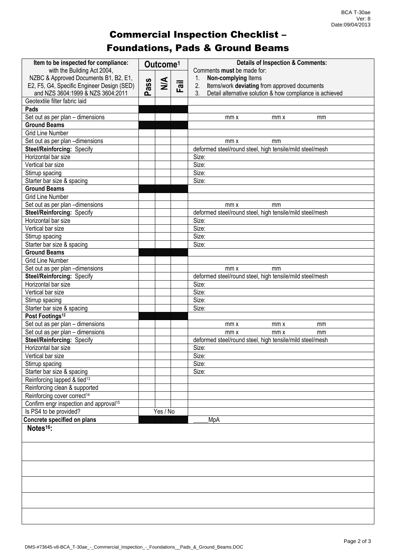## Commercial Inspection Checklist – Foundations, Pads & Ground Beams

| Item to be inspected for compliance:               | Outcome <sup>1</sup> |               |      | <b>Details of Inspection &amp; Comments:</b>                               |
|----------------------------------------------------|----------------------|---------------|------|----------------------------------------------------------------------------|
| with the Building Act 2004,                        |                      |               |      | Comments must be made for:                                                 |
| NZBC & Approved Documents B1, B2, E1,              | ass                  | $\frac{4}{2}$ |      | Non-complying Items<br>1.                                                  |
| E2, F5, G4, Specific Engineer Design (SED)         |                      |               | Fail | 2.<br>Items/work deviating from approved documents                         |
| and NZS 3604:1999 & NZS 3604:2011                  | ൨                    |               |      | 3 <sub>1</sub><br>Detail alternative solution & how compliance is achieved |
| Geotextile filter fabric laid                      |                      |               |      |                                                                            |
| Pads                                               |                      |               |      |                                                                            |
| Set out as per plan - dimensions                   |                      |               |      | mm x<br>mm x<br>mm                                                         |
| <b>Ground Beams</b>                                |                      |               |      |                                                                            |
| <b>Grid Line Number</b>                            |                      |               |      |                                                                            |
| Set out as per plan -dimensions                    |                      |               |      | mm x<br>mm                                                                 |
| Steel/Reinforcing: Specify                         |                      |               |      | deformed steel/round steel, high tensile/mild steel/mesh                   |
| Horizontal bar size                                |                      |               |      | Size:                                                                      |
| Vertical bar size                                  |                      |               |      | Size:                                                                      |
| Stirrup spacing                                    |                      |               |      | Size:                                                                      |
| Starter bar size & spacing                         |                      |               |      | Size:                                                                      |
| <b>Ground Beams</b>                                |                      |               |      |                                                                            |
| <b>Grid Line Number</b>                            |                      |               |      |                                                                            |
| Set out as per plan -dimensions                    |                      |               |      | mm x<br>mm                                                                 |
| Steel/Reinforcing: Specify                         |                      |               |      | deformed steel/round steel, high tensile/mild steel/mesh                   |
| Horizontal bar size                                |                      |               |      | Size:                                                                      |
| Vertical bar size                                  |                      |               |      | Size:                                                                      |
| Stirrup spacing                                    |                      |               |      | Size:                                                                      |
| Starter bar size & spacing                         |                      |               |      | Size:                                                                      |
| <b>Ground Beams</b>                                |                      |               |      |                                                                            |
| <b>Grid Line Number</b>                            |                      |               |      |                                                                            |
| Set out as per plan -dimensions                    |                      |               |      | mm x<br>mm                                                                 |
| Steel/Reinforcing: Specify                         |                      |               |      | deformed steel/round steel, high tensile/mild steel/mesh                   |
| Horizontal bar size                                |                      |               |      | Size:                                                                      |
| Vertical bar size                                  |                      |               |      | Size:                                                                      |
| Stirrup spacing                                    |                      |               |      | Size:                                                                      |
| Starter bar size & spacing                         |                      |               |      | Size:                                                                      |
| Post Footings <sup>12</sup>                        |                      |               |      |                                                                            |
| Set out as per plan - dimensions                   |                      |               |      | mm x<br>mm x<br>mm                                                         |
| Set out as per plan - dimensions                   |                      |               |      | mm x<br>mm x<br>mm                                                         |
| Steel/Reinforcing: Specify                         |                      |               |      | deformed steel/round steel, high tensile/mild steel/mesh                   |
| Horizontal bar size                                |                      |               |      | Size:                                                                      |
|                                                    |                      |               |      |                                                                            |
| Vertical bar size                                  |                      |               |      | Size:                                                                      |
| Stirrup spacing                                    |                      |               |      | Size:                                                                      |
| Starter bar size & spacing                         |                      |               |      | Size:                                                                      |
| Reinforcing lapped & tied <sup>13</sup>            |                      |               |      |                                                                            |
| Reinforcing clean & supported                      |                      |               |      |                                                                            |
| Reinforcing cover correct <sup>14</sup>            |                      |               |      |                                                                            |
| Confirm engr inspection and approval <sup>15</sup> |                      |               |      |                                                                            |
| Is PS4 to be provided?                             |                      | Yes / No      |      |                                                                            |
| Concrete specified on plans                        |                      |               |      | MpA                                                                        |
| Notes <sup>16</sup> :                              |                      |               |      |                                                                            |
|                                                    |                      |               |      |                                                                            |
|                                                    |                      |               |      |                                                                            |
|                                                    |                      |               |      |                                                                            |
|                                                    |                      |               |      |                                                                            |
|                                                    |                      |               |      |                                                                            |
|                                                    |                      |               |      |                                                                            |
|                                                    |                      |               |      |                                                                            |
|                                                    |                      |               |      |                                                                            |
|                                                    |                      |               |      |                                                                            |
|                                                    |                      |               |      |                                                                            |
|                                                    |                      |               |      |                                                                            |